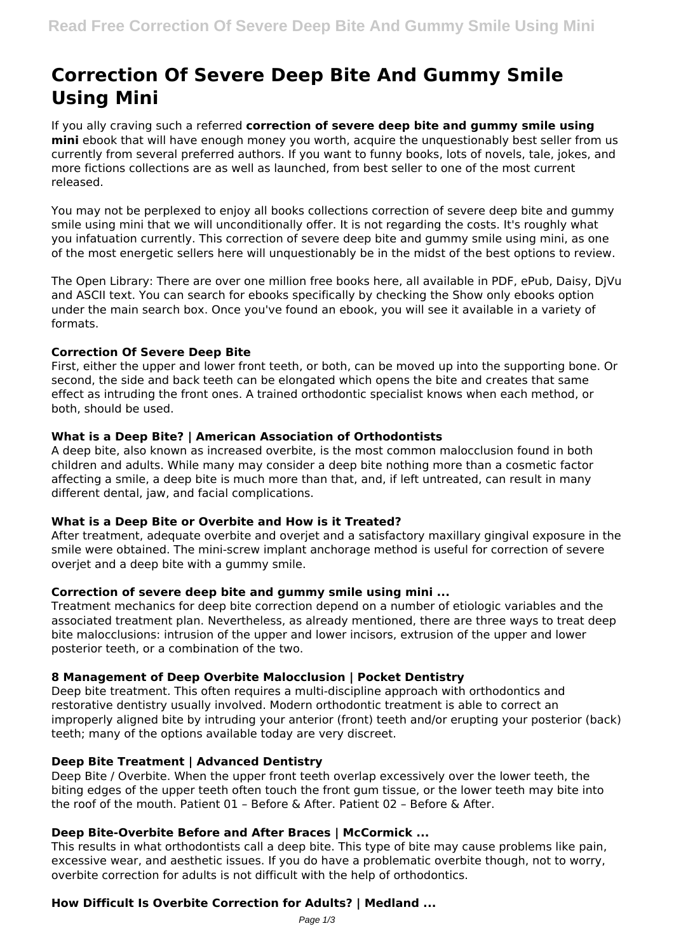# **Correction Of Severe Deep Bite And Gummy Smile Using Mini**

If you ally craving such a referred **correction of severe deep bite and gummy smile using mini** ebook that will have enough money you worth, acquire the unquestionably best seller from us currently from several preferred authors. If you want to funny books, lots of novels, tale, jokes, and more fictions collections are as well as launched, from best seller to one of the most current released.

You may not be perplexed to enjoy all books collections correction of severe deep bite and gummy smile using mini that we will unconditionally offer. It is not regarding the costs. It's roughly what you infatuation currently. This correction of severe deep bite and gummy smile using mini, as one of the most energetic sellers here will unquestionably be in the midst of the best options to review.

The Open Library: There are over one million free books here, all available in PDF, ePub, Daisy, DjVu and ASCII text. You can search for ebooks specifically by checking the Show only ebooks option under the main search box. Once you've found an ebook, you will see it available in a variety of formats.

## **Correction Of Severe Deep Bite**

First, either the upper and lower front teeth, or both, can be moved up into the supporting bone. Or second, the side and back teeth can be elongated which opens the bite and creates that same effect as intruding the front ones. A trained orthodontic specialist knows when each method, or both, should be used.

## **What is a Deep Bite? | American Association of Orthodontists**

A deep bite, also known as increased overbite, is the most common malocclusion found in both children and adults. While many may consider a deep bite nothing more than a cosmetic factor affecting a smile, a deep bite is much more than that, and, if left untreated, can result in many different dental, jaw, and facial complications.

## **What is a Deep Bite or Overbite and How is it Treated?**

After treatment, adequate overbite and overjet and a satisfactory maxillary gingival exposure in the smile were obtained. The mini-screw implant anchorage method is useful for correction of severe overjet and a deep bite with a gummy smile.

## **Correction of severe deep bite and gummy smile using mini ...**

Treatment mechanics for deep bite correction depend on a number of etiologic variables and the associated treatment plan. Nevertheless, as already mentioned, there are three ways to treat deep bite malocclusions: intrusion of the upper and lower incisors, extrusion of the upper and lower posterior teeth, or a combination of the two.

# **8 Management of Deep Overbite Malocclusion | Pocket Dentistry**

Deep bite treatment. This often requires a multi-discipline approach with orthodontics and restorative dentistry usually involved. Modern orthodontic treatment is able to correct an improperly aligned bite by intruding your anterior (front) teeth and/or erupting your posterior (back) teeth; many of the options available today are very discreet.

## **Deep Bite Treatment | Advanced Dentistry**

Deep Bite / Overbite. When the upper front teeth overlap excessively over the lower teeth, the biting edges of the upper teeth often touch the front gum tissue, or the lower teeth may bite into the roof of the mouth. Patient 01 – Before & After. Patient 02 – Before & After.

## **Deep Bite-Overbite Before and After Braces | McCormick ...**

This results in what orthodontists call a deep bite. This type of bite may cause problems like pain, excessive wear, and aesthetic issues. If you do have a problematic overbite though, not to worry, overbite correction for adults is not difficult with the help of orthodontics.

# **How Difficult Is Overbite Correction for Adults? | Medland ...**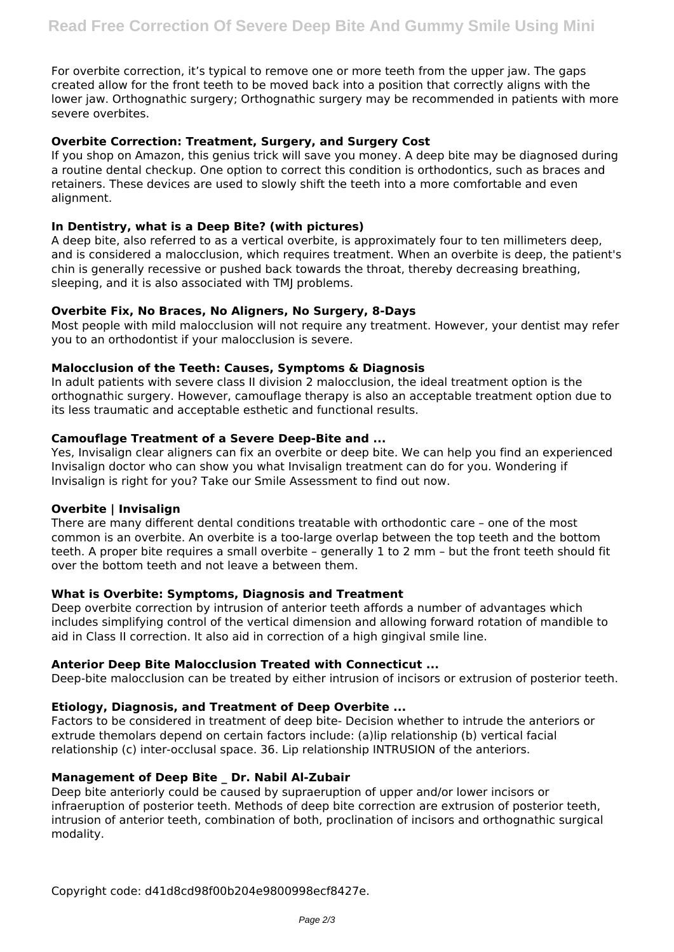For overbite correction, it's typical to remove one or more teeth from the upper jaw. The gaps created allow for the front teeth to be moved back into a position that correctly aligns with the lower jaw. Orthognathic surgery; Orthognathic surgery may be recommended in patients with more severe overbites.

## **Overbite Correction: Treatment, Surgery, and Surgery Cost**

If you shop on Amazon, this genius trick will save you money. A deep bite may be diagnosed during a routine dental checkup. One option to correct this condition is orthodontics, such as braces and retainers. These devices are used to slowly shift the teeth into a more comfortable and even alignment.

## **In Dentistry, what is a Deep Bite? (with pictures)**

A deep bite, also referred to as a vertical overbite, is approximately four to ten millimeters deep, and is considered a malocclusion, which requires treatment. When an overbite is deep, the patient's chin is generally recessive or pushed back towards the throat, thereby decreasing breathing, sleeping, and it is also associated with TMI problems.

## **Overbite Fix, No Braces, No Aligners, No Surgery, 8-Days**

Most people with mild malocclusion will not require any treatment. However, your dentist may refer you to an orthodontist if your malocclusion is severe.

#### **Malocclusion of the Teeth: Causes, Symptoms & Diagnosis**

In adult patients with severe class II division 2 malocclusion, the ideal treatment option is the orthognathic surgery. However, camouflage therapy is also an acceptable treatment option due to its less traumatic and acceptable esthetic and functional results.

#### **Camouflage Treatment of a Severe Deep-Bite and ...**

Yes, Invisalign clear aligners can fix an overbite or deep bite. We can help you find an experienced Invisalign doctor who can show you what Invisalign treatment can do for you. Wondering if Invisalign is right for you? Take our Smile Assessment to find out now.

#### **Overbite | Invisalign**

There are many different dental conditions treatable with orthodontic care – one of the most common is an overbite. An overbite is a too-large overlap between the top teeth and the bottom teeth. A proper bite requires a small overbite – generally 1 to 2 mm – but the front teeth should fit over the bottom teeth and not leave a between them.

#### **What is Overbite: Symptoms, Diagnosis and Treatment**

Deep overbite correction by intrusion of anterior teeth affords a number of advantages which includes simplifying control of the vertical dimension and allowing forward rotation of mandible to aid in Class II correction. It also aid in correction of a high gingival smile line.

#### **Anterior Deep Bite Malocclusion Treated with Connecticut ...**

Deep-bite malocclusion can be treated by either intrusion of incisors or extrusion of posterior teeth.

## **Etiology, Diagnosis, and Treatment of Deep Overbite ...**

Factors to be considered in treatment of deep bite- Decision whether to intrude the anteriors or extrude themolars depend on certain factors include: (a)lip relationship (b) vertical facial relationship (c) inter-occlusal space. 36. Lip relationship INTRUSION of the anteriors.

#### **Management of Deep Bite \_ Dr. Nabil Al-Zubair**

Deep bite anteriorly could be caused by supraeruption of upper and/or lower incisors or infraeruption of posterior teeth. Methods of deep bite correction are extrusion of posterior teeth, intrusion of anterior teeth, combination of both, proclination of incisors and orthognathic surgical modality.